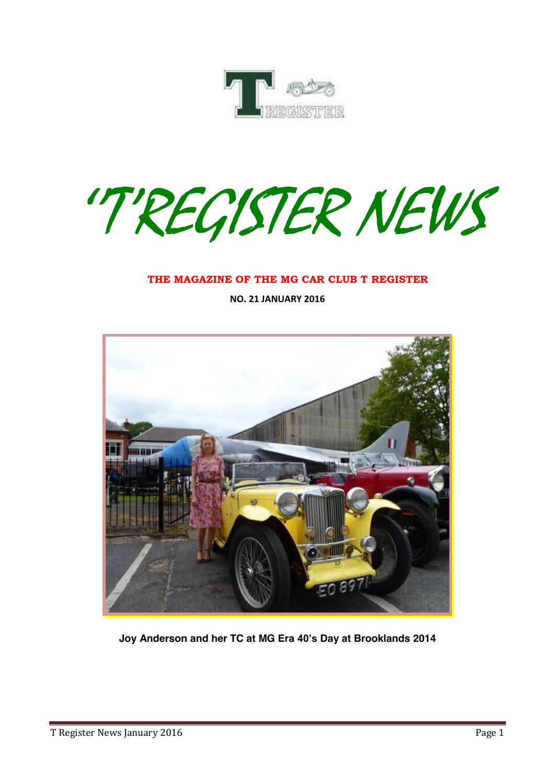

''T'REGISTER NEWS

#### **THE MAGAZINE OF THE MG CAR CLUB T REGISTER**

**NO. 21 JANUARY 2016**



**Joy Anderson and her TC at MG Era 40's Day at Brooklands 2014**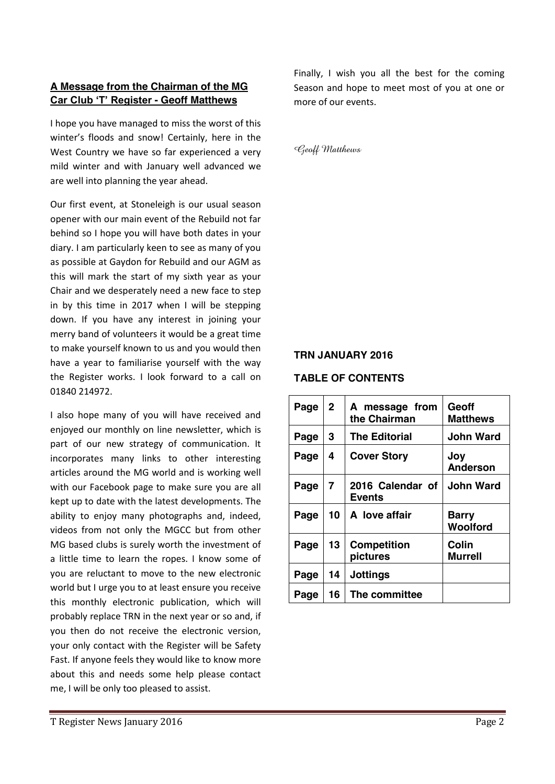## **A Message from the Chairman of the MG Car Club 'T' Register - Geoff Matthews**

I hope you have managed to miss the worst of this winter's floods and snow! Certainly, here in the West Country we have so far experienced a very mild winter and with January well advanced we are well into planning the year ahead.

Our first event, at Stoneleigh is our usual season opener with our main event of the Rebuild not far behind so I hope you will have both dates in your diary. I am particularly keen to see as many of you as possible at Gaydon for Rebuild and our AGM as this will mark the start of my sixth year as your Chair and we desperately need a new face to step in by this time in 2017 when I will be stepping down. If you have any interest in joining your merry band of volunteers it would be a great time to make yourself known to us and you would then have a year to familiarise yourself with the way the Register works. I look forward to a call on 01840 214972.

I also hope many of you will have received and enjoyed our monthly on line newsletter, which is part of our new strategy of communication. It incorporates many links to other interesting articles around the MG world and is working well with our Facebook page to make sure you are all kept up to date with the latest developments. The ability to enjoy many photographs and, indeed, videos from not only the MGCC but from other MG based clubs is surely worth the investment of a little time to learn the ropes. I know some of you are reluctant to move to the new electronic world but I urge you to at least ensure you receive this monthly electronic publication, which will probably replace TRN in the next year or so and, if you then do not receive the electronic version, your only contact with the Register will be Safety Fast. If anyone feels they would like to know more about this and needs some help please contact me, I will be only too pleased to assist.

Finally, I wish you all the best for the coming Season and hope to meet most of you at one or more of our events.

Geoff Matthews

#### **TRN JANUARY 2016**

#### **TABLE OF CONTENTS**

| Page | $\mathbf{2}$   | A message from<br>the Chairman    | Geoff<br>Matthews        |  |
|------|----------------|-----------------------------------|--------------------------|--|
| Page | 3              | <b>The Editorial</b>              | John Ward                |  |
| Page | 4              | <b>Cover Story</b>                | Joy<br>Anderson          |  |
| Page | $\overline{7}$ | 2016 Calendar of<br><b>Events</b> | <b>John Ward</b>         |  |
| Page | 10             | A love affair                     | <b>Barry</b><br>Woolford |  |
| Page | 13             | <b>Competition</b><br>pictures    | Colin<br><b>Murrell</b>  |  |
| Page | 14             | <b>Jottings</b>                   |                          |  |
| Page | 16             | The committee                     |                          |  |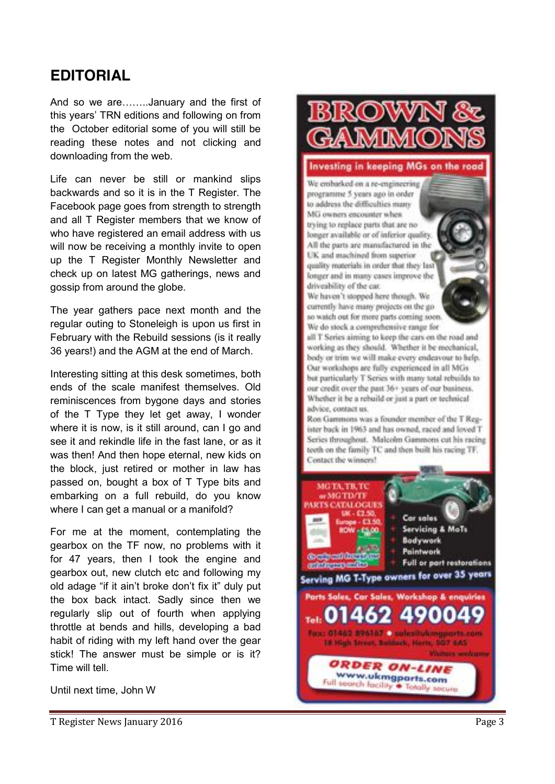## **EDITORIAL**

And so we are……..January and the first of this years' TRN editions and following on from the October editorial some of you will still be reading these notes and not clicking and downloading from the web.

Life can never be still or mankind slips backwards and so it is in the T Register. The Facebook page goes from strength to strength and all T Register members that we know of who have registered an email address with us will now be receiving a monthly invite to open up the T Register Monthly Newsletter and check up on latest MG gatherings, news and gossip from around the globe.

The year gathers pace next month and the regular outing to Stoneleigh is upon us first in February with the Rebuild sessions (is it really 36 years!) and the AGM at the end of March.

Interesting sitting at this desk sometimes, both ends of the scale manifest themselves. Old reminiscences from bygone days and stories of the T Type they let get away, I wonder where it is now, is it still around , can I go and see it and rekindle life in the fast lane , or as it was then! And then hope eternal , new kids on the block , just retired or mother in law has passed on, bought a box of T Type bits and embarking on a full rebuild, do you know where I can get a manual or a manifold?

For me at the moment, contemplating the gearbox on the TF now, no problems with it for 47 years, then I took the engine and gearbox out, new clutch etc and following my old adage "if it ain't broke don't fix it" duly put the box back intact. Sadly since then we regularly slip out of fourth when applying throttle at bends and hills, developing a bad habit of riding with my left hand over the gear stick! The answer must be simple or is it?<br>Time will tell

Until next time, John W

Investing in keeping MGs on the road We embarked on a re-engineering programme 5 years ago in order to address the difficulties many MG owners encounter when trying to replace parts that are no longer available or of inferior quality All the parts are manufactured in the UK and machined from superior quality materials in order that they last longer and in many cases improve the driveability of the car. We haven't stopped here though. We currently have many projects on the go so watch out for more parts coming soon. We do stock a comprehensive range for all T Series aiming to keep the cars on the road and

working as they should. Whether it be mechanical, body or trim we will make every endeavour to help. Our workshops are fully experienced in all MGs but particularly T Series with many total rebuilds to our credit over the past 36+ years of our business. Whether it be a rebuild or just a part or technical advice, contact us.

Ron Gammons was a founder member of the T Register back in 1963 and has owned, raced and loved T Series throughout. Malcolm Gammons cut his racing teeth on the family TC and then built his racing TF. Contact the winners!

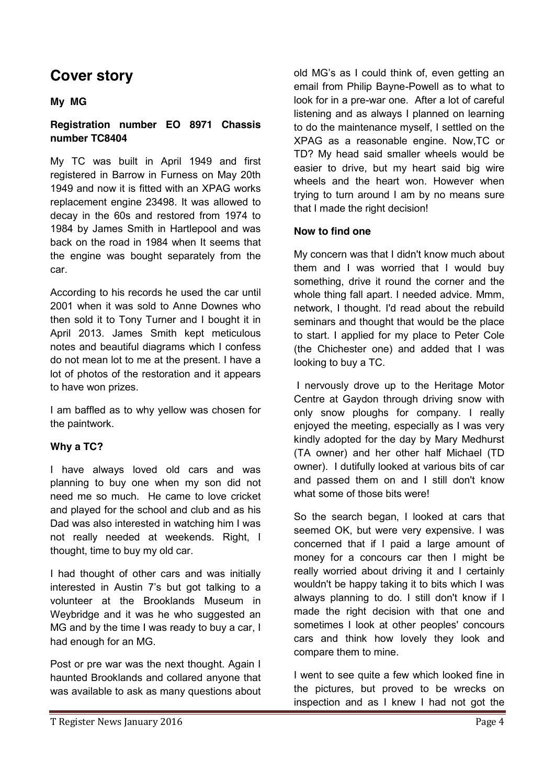## **Cover story**

## **My MG**

## **Registration number EO 8971 Chassis number TC8404**

My TC was built in April 1949 and first registered in Barrow in Furness on May 20th 1949 and now it is fitted with an XPAG works replacement engine 23498. It was allowed to decay in the 60s and restored from 1974 to 1984 by James Smith in Hartlepool and was back on the road in 1984 when It seems that the engine was bought separately from the car.

According to his records he used the car until 2001 when it was sold to Anne Downes who then sold it to Tony Turner and I bought it in April 2013. James Smith kept meticulous notes and beautiful diagrams which I confess do not mean lot to me at the present. I have a lot of photos of the restoration and it appears to have won prizes.

I am baffled as to why yellow was chosen for the paintwork.

## **Why a TC?**

I have always loved old cars and was planning to buy one when my son did not need me so much. He came to love cricket and played for the school and club and as his Dad was also interested in watching him I was not really needed at weekends. Right, I thought, time to buy my old car.

I had thought of other cars and was initially interested in Austin 7's but got talking to a volunteer at the Brooklands Museum in Weybridge and it was he who suggested an MG and by the time I was ready to buy a car, I had enough for an MG.

Post or pre war was the next thought. Again I haunted Brooklands and collared anyone that was available to ask as many questions about old MG's as I could think of, even getting an email from Philip Bayne-Powell as to what to look for in a pre-war one. After a lot of careful listening and as always I planned on learning to do the maintenance myself, I settled on the XPAG as a reasonable engine. Now,TC or TD? My head said smaller wheels would be easier to drive, but my heart said big wire wheels and the heart won. However when trying to turn around I am by no means sure that I made the right decision!

## **Now to find one**

My concern was that I didn't know much about them and I was worried that I would buy something, drive it round the corner and the whole thing fall apart. I needed advice. Mmm, network, I thought. I'd read about the rebuild seminars and thought that would be the place to start. I applied for my place to Peter Cole (the Chichester one) and added that I was looking to buy a TC.

I nervously drove up to the Heritage Motor Centre at Gaydon through driving snow with only snow ploughs for company. I really enjoyed the meeting, especially as I was very kindly adopted for the day by Mary Medhurst (TA owner) and her other half Michael (TD owner). I dutifully looked at various bits of car and passed them on and I still don't know what some of those bits were!

So the search began, I looked at cars that seemed OK, but were very expensive. I was concerned that if I paid a large amount of money for a concours car then I might be really worried about driving it and I certainly wouldn't be happy taking it to bits which I was always planning to do. I still don't know if I made the right decision with that one and sometimes I look at other peoples' concours cars and think how lovely they look and compare them to mine.

I went to see quite a few which looked fine in the pictures, but proved to be wrecks on inspection and as I knew I had not got the

T Register News January 2016 **Page 4**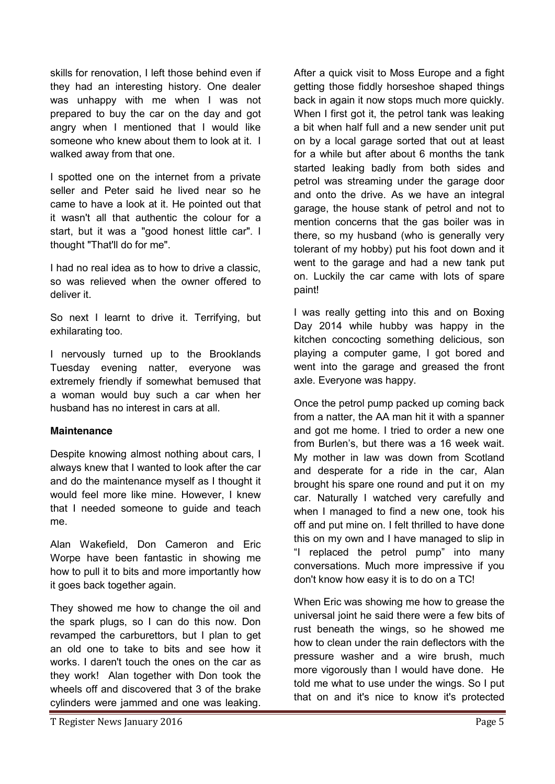skills for renovation, I left those behind even if they had an interesting history. One dealer was unhappy with me when I was not prepared to buy the car on the day and got angry when I mentioned that I would like someone who knew about them to look at it. I walked away from that one.

I spotted one on the internet from a private seller and Peter said he lived near so he came to have a look at it. He pointed out that it wasn't all that authentic the colour for a start, but it was a "good honest little car". I thought "That'll do for me".

I had no real idea as to how to drive a classic, so was relieved when the owner offered to deliver it.

So next I learnt to drive it. Terrifying, but exhilarating too.

I nervously turned up to the Brooklands Tuesday evening natter, everyone was extremely friendly if somewhat bemused that a woman would buy such a car when her husband has no interest in cars at all.

#### **Maintenance**

Despite knowing almost nothing about cars, I always knew that I wanted to look after the car and do the maintenance myself as I thought it would feel more like mine. However, I knew that I needed someone to guide and teach me.

Alan Wakefield, Don Cameron and Eric Worpe have been fantastic in showing me how to pull it to bits and more importantly how it goes back together again.

They showed me how to change the oil and the spark plugs, so I can do this now. Don revamped the carburettors, but I plan to get an old one to take to bits and see how it works. I daren't touch the ones on the car as they work! Alan together with Don took the wheels off and discovered that 3 of the brake cylinders were jammed and one was leaking.

After a quick visit to Moss Europe and a fight getting those fiddly horseshoe shaped things back in again it now stops much more quickly. When I first got it, the petrol tank was leaking a bit when half full and a new sender unit put on by a local garage sorted that out at least for a while but after about 6 months the tank started leaking badly from both sides and petrol was streaming under the garage door and onto the drive. As we have an integral garage, the house stank of petrol and not to mention concerns that the gas boiler was in there, so my husband (who is generally very tolerant of my hobby) put his foot down and it went to the garage and had a new tank put on. Luckily the car came with lots of spare paint!

I was really getting into this and on Boxing Day 2014 while hubby was happy in the kitchen concocting something delicious, son playing a computer game, I got bored and went into the garage and greased the front axle. Everyone was happy.

Once the petrol pump packed up coming back from a natter, the AA man hit it with a spanner and got me home. I tried to order a new one from Burlen's, but there was a 16 week wait. My mother in law was down from Scotland and desperate for a ride in the car, Alan brought his spare one round and put it on my car. Naturally I watched very carefully and when I managed to find a new one, took his off and put mine on. I felt thrilled to have done this on my own and I have managed to slip in "I replaced the petrol pump" into many conversations. Much more impressive if you don't know how easy it is to do on a TC!

When Eric was showing me how to grease the universal joint he said there were a few bits of rust beneath the wings, so he showed me how to clean under the rain deflectors with the pressure washer and a wire brush, much more vigorously than I would have done. He told me what to use under the wings. So I put that on and it's nice to know it's protected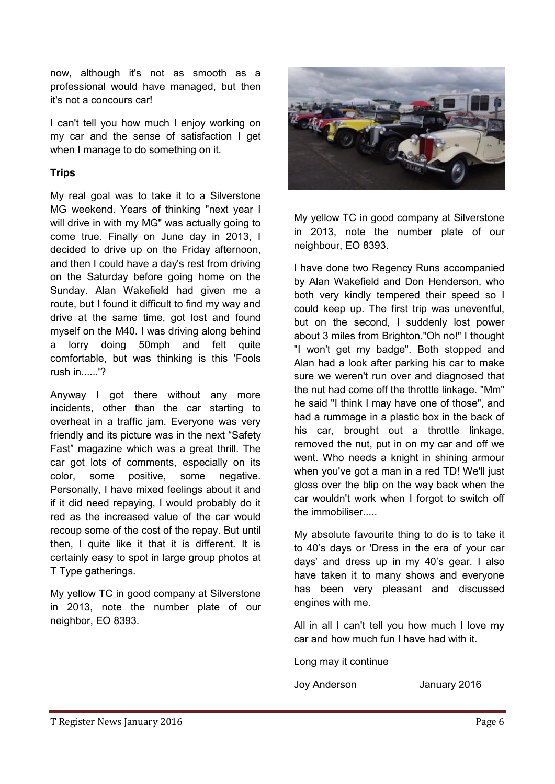now, although it's not as smooth as a professional would have managed, but then it's not a concours car!

I can't tell you how much I enjoy working on my car and the sense of satisfaction I get when I manage to do something on it.

## **Trips**

My real goal was to take it to a Silverstone MG weekend. Years of thinking "next year I will drive in with my MG" was actually going to come true. Finally on June day in 2013, I decided to drive up on the Friday afternoon, and then I could have a day's rest from driving on the Saturday before going home on the Sunday. Alan Wakefield had given me a route, but I found it difficult to find my way and drive at the same time, got lost and found myself on the M40. I was driving along behind a lorry doing 50mph and felt quite comfortable, but was thinking is this 'Fools rush in......'?

Anyway I got there without any more incidents, other than the car starting to overheat in a traffic jam. Everyone was very friendly and its picture was in the next "Safety Fast" magazine which was a great thrill. The car got lots of comments, especially on its color, some positive, some negative. Personally, I have mixed feelings about it and if it did need repaying, I would probably do it red as the increased value of the car would recoup some of the cost of the repay. But until then, I quite like it that it is different. It is certainly easy to spot in large group photos at T Type gatherings.

My yellow TC in good company at Silverstone in 2013, note the number plate of our neighbor, EO 8393.



My yellow TC in good company at Silverstone in 2013, note the number plate of our neighbour, EO 8393.

I have done two Regency Runs accompanied by Alan Wakefield and Don Henderson, who both very kindly tempered their speed so I could keep up. The first trip was uneventful, but on the second, I suddenly lost power about 3 miles from Brighton."Oh no!" I thought "I won't get my badge". Both stopped and Alan had a look after parking his car to make sure we weren't run over and diagnosed that the nut had come off the throttle linkage. "Mm" he said "I think I may have one of those", and had a rummage in a plastic box in the back of his car, brought out a throttle linkage, removed the nut, put in on my car and off we went. Who needs a knight in shining armour when you've got a man in a red TD! We'll just gloss over the blip on the way back when the car wouldn't work when I forgot to switch off the immobiliser.....

My absolute favourite thing to do is to take it to 40's days or 'Dress in the era of your car days' and dress up in my 40's gear. I also have taken it to many shows and everyone has been very pleasant and discussed engines with me.

All in all I can't tell you how much I love my car and how much fun I have had with it.

Long may it continue

Joy Anderson January 2016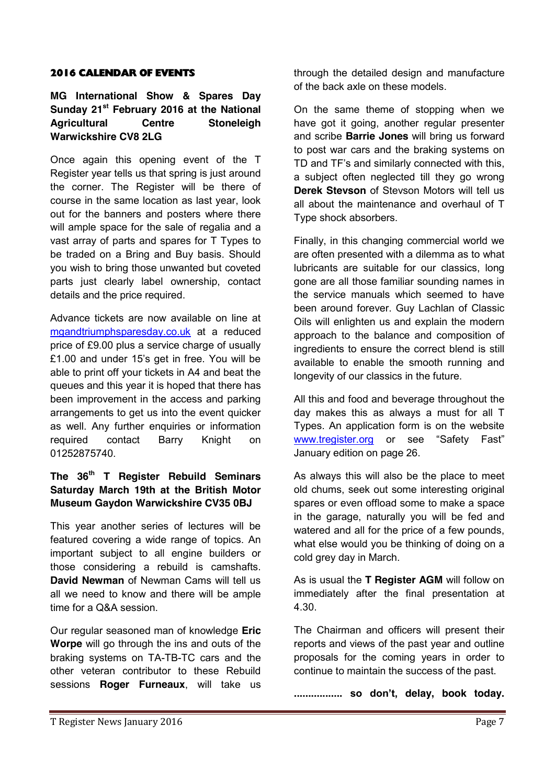#### 2016 CALENDAR OF EVENTS

## **MG International Show & Spares Day Sunday 21st February 2016 at the National Agricultural Centre Stoneleigh Warwickshire CV8 2LG**

Once again this opening event of the T Register year tells us that spring is just around the corner. The Register will be there of course in the same location as last year, look out for the banners and posters where there will ample space for the sale of regalia and a vast array of parts and spares for T Types to be traded on a Bring and Buy basis. Should you wish to bring those unwanted but coveted parts just clearly label ownership, contact details and the price required.

Advance tickets are now available on line at mgandtriumphsparesday.co.uk at a reduced price of £9.00 plus a service charge of usually £1.00 and under 15's get in free. You will be able to print off your tickets in A4 and beat the queues and this year it is hoped that there has been improvement in the access and parking arrangements to get us into the event quicker as well. Any further enquiries or information required contact Barry Knight on 01252875740.

## **The 36th T Register Rebuild Seminars Saturday March 19th at the British Motor Museum Gaydon Warwickshire CV35 0BJ**

This year another series of lectures will be featured covering a wide range of topics. An important subject to all engine builders or those considering a rebuild is camshafts. **David Newman** of Newman Cams will tell us all we need to know and there will be ample time for a Q&A session.

Our regular seasoned man of knowledge **Eric Worpe** will go through the ins and outs of the braking systems on TA-TB-TC cars and the other veteran contributor to these Rebuild sessions **Roger Furneaux**, will take us through the detailed design and manufacture of the back axle on these models.

On the same theme of stopping when we have got it going, another regular presenter and scribe **Barrie Jones** will bring us forward to post war cars and the braking systems on TD and TF's and similarly connected with this, a subject often neglected till they go wrong **Derek Stevson** of Stevson Motors will tell us all about the maintenance and overhaul of T Type shock absorbers.

Finally, in this changing commercial world we are often presented with a dilemma as to what lubricants are suitable for our classics, long gone are all those familiar sounding names in the service manuals which seemed to have been around forever. Guy Lachlan of Classic Oils will enlighten us and explain the modern approach to the balance and composition of ingredients to ensure the correct blend is still available to enable the smooth running and longevity of our classics in the future.

All this and food and beverage throughout the day makes this as always a must for all T Types. An application form is on the website [www.tregister.org](http://www.tregister.org/) or see "Safety Fast" January edition on page 26.

As always this will also be the place to meet old chums, seek out some interesting original spares or even offload some to make a space in the garage, naturally you will be fed and watered and all for the price of a few pounds, what else would you be thinking of doing on a cold grey day in March.

As is usual the **T Register AGM** will follow on immediately after the final presentation at 4.30.

The Chairman and officers will present their reports and views of the past year and outline proposals for the coming years in order to continue to maintain the success of the past.

**................. so don't, delay, book today.**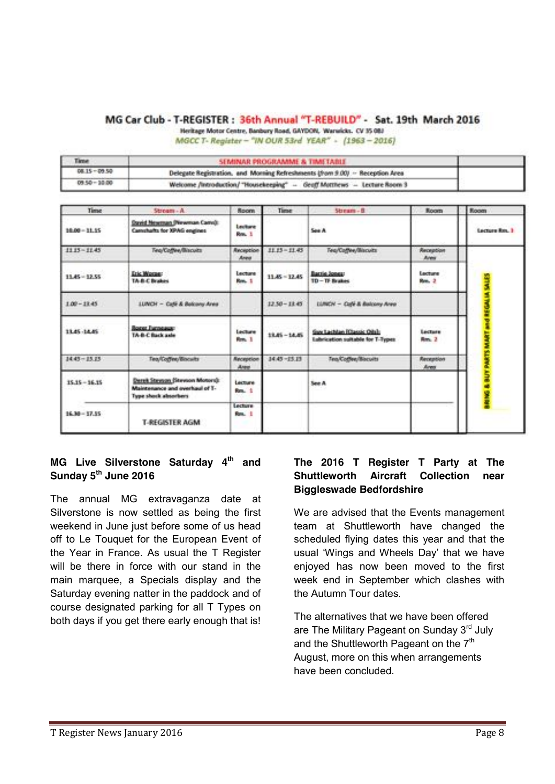#### MG Car Club - T-REGISTER: 36th Annual "T-REBUILD" - Sat. 19th March 2016

Heritage Motor Centre, Banbury Road, GAYDON, 'Warwicks, CV 35 083

MGCC T- Register - "IN OUR 53rd YEAR" - (1963-2016)

| Time.           | SEMINAR PROGRAMME & TIMETABLE                                                 |  |
|-----------------|-------------------------------------------------------------------------------|--|
| 08.15 - 09.50   | Delegate Registration, and Morning Refreshments (from 9.00) -- Reception Area |  |
| $09.50 - 30.00$ | Welcome /introduction/ "Housekeeping" - Geoff Motthews - Lecture Room 3       |  |

| Time            | Stream - A                                                                                | <b>Room</b>        | Time            | Stream - B                                                      | Room              | Room           |
|-----------------|-------------------------------------------------------------------------------------------|--------------------|-----------------|-----------------------------------------------------------------|-------------------|----------------|
| 10.00 - 11.15   | David Newman (Newman Canvi):<br>Canvalvarita for XPAG engines                             | Lecture<br>Roy, 1  |                 | See A                                                           |                   | Lecture Roy, 3 |
| 1115-1145       | Teg/Coffee/Biscuits                                                                       | Reception<br>Areus | $11.13 - 11.43$ | Teg/Coffee/Blacutz                                              | Reception<br>Area |                |
| $11.45 - 12.55$ | <b>Lik Wome:</b><br>TA-B-C Brakes                                                         | Lecture<br>Res. 1  | $11.45 - 12.45$ | Barrie Jones:<br>TD-TF Brakes                                   | Lecture<br>Res. 2 |                |
| $1.00 - 12.45$  | <b>LUNCH - Cate &amp; Belcony Area</b>                                                    |                    | $12.50 - 18.45$ | LUNCH - Cupi & Balcony Area                                     |                   |                |
| 13.45 -14.45    | <b>Baggs European:</b><br>TA-B-C Back axle                                                | Lecture<br>Ren. 1  | 13.45 ~ 14.45   | Guy Lachtan (Classic Oils):<br>Labrication suitable for T-Types | Lecture<br>Rm. 2  |                |
| $3445 - 25.75$  | Tea/Coffee/Biscults                                                                       | Reception<br>Aree  | 14.45 - 15.15   | Tea/Coffee/Blecults                                             | Reception<br>Aren |                |
| $15.15 - 16.15$ | Derek Steynan (Steynon Motors):<br>Maintenance and overhaul of T-<br>Type shock absorbers | Lecture<br>Res. 1  |                 | See A.                                                          |                   |                |
| 16.30 - 17.15   | <b>T-REGISTER AGM</b>                                                                     | Lecture<br>Rm. 1   |                 |                                                                 |                   |                |

## **MG Live Silverstone Saturday 4th and Sunday 5th June 2016**

The annual MG extravaganza date at Silverstone is now settled as being the first weekend in June just before some of us head off to Le Touquet for the European Event of the Year in France. As usual the T Register will be there in force with our stand in the main marquee, a Specials display and the Saturday evening natter in the paddock and of course designated parking for all T Types on both days if you get there early enough that is!

## **The 2016 T Register T Party at The Shuttleworth Aircraft Collection near Biggleswade Bedfordshire**

We are advised that the Events management team at Shuttleworth have changed the scheduled flying dates this year and that the usual 'Wings and Wheels Day' that we have enjoyed has now been moved to the first week end in September which clashes with the Autumn Tour dates.

The alternatives that we have been offered are The Military Pageant on Sunday 3rd July and the Shuttleworth Pageant on the  $7<sup>th</sup>$ August, more on this when arrangements have been concluded.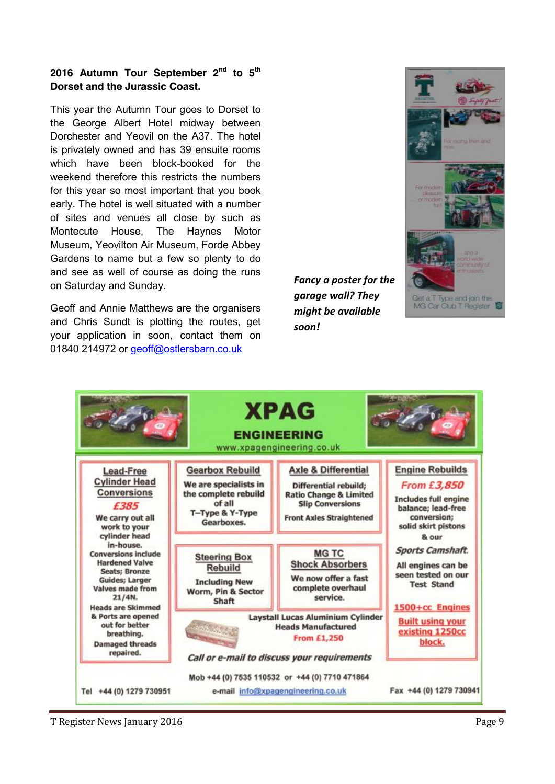## **2016 Autumn Tour September 2nd to 5th Dorset and the Jurassic Coast.**

This year the Autumn Tour goes to Dorset to the George Albert Hotel midway between Dorchester and Yeovil on the A37. The hotel is privately owned and has 39 ensuite rooms which have been block-booked for the weekend therefore this restricts the numbers for this year so most important that you book early. The hotel is well situated with a number of sites and venues all close by such as Montecute House, The Haynes Motor Museum, Yeovilton Air Museum, Forde Abbey Gardens to name but a few so plenty to do and see as well of course as doing the runs on Saturday and Sunday.

Geoff and Annie Matthews are the organisers and Chris Sundt is plotting the routes, get your application in soon, contact them on 01840 214972 or geoff@ostlersbarn.co.uk

*Fancy a poster for the garage wall? They might be available soon!*





T Register News January 2016 **Page 9**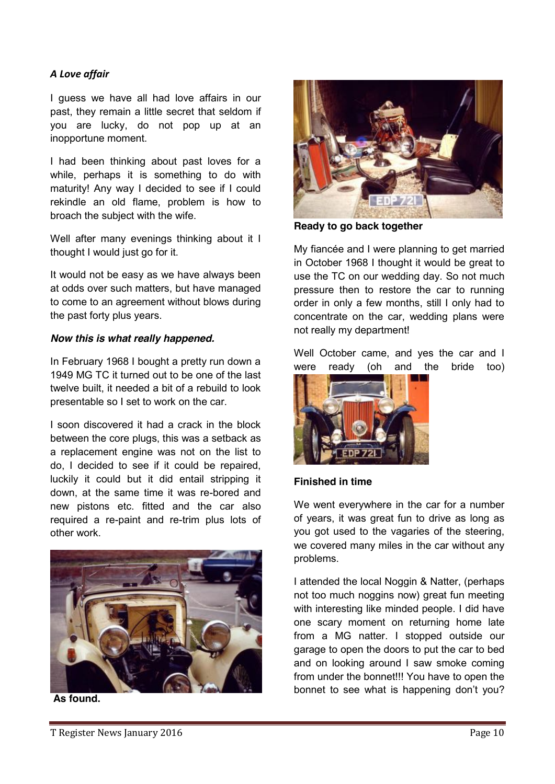## *A Love affair*

I guess we have all had love affairs in our past, they remain a little secret that seldom if you are lucky, do not pop up at an inopportune moment.

I had been thinking about past loves for a while, perhaps it is something to do with maturity! Any way I decided to see if I could rekindle an old flame, problem is how to broach the subject with the wife.

Well after many evenings thinking about it I thought I would just go for it.

It would not be easy as we have always been at odds over such matters, but have managed to come to an agreement without blows during the past forty plus years.

#### *Now this is what really happened.*

In February 1968 I bought a pretty run down a 1949 MG TC it turned out to be one of the last twelve built, it needed a bit of a rebuild to look presentable so I set to work on the car.

I soon discovered it had a crack in the block between the core plugs, this was a setback as a replacement engine was not on the list to do, I decided to see if it could be repaired, luckily it could but it did entail stripping it down, at the same time it was re-bored and new pistons etc. fitted and the car also required a re-paint and re-trim plus lots of other work.



**As found.**



**Ready to go back together**

My fiancée and I were planning to get married in October 1968 I thought it would be great to use the TC on our wedding day. So not much pressure then to restore the car to running order in only a few months, still I only had to concentrate on the car, wedding plans were not really my department!

Well October came, and yes the car and I were ready (oh and the bride too)



#### **Finished in time**

We went everywhere in the car for a number of years, it was great fun to drive as long as you got used to the vagaries of the steering, we covered many miles in the car without any problems.

I attended the local Noggin & Natter, (perhaps not too much noggins now) great fun meeting with interesting like minded people. I did have one scary moment on returning home late from a MG natter. I stopped outside our garage to open the doors to put the car to bed and on looking around I saw smoke coming from under the bonnet!!! You have to open the bonnet to see what is happening don't you?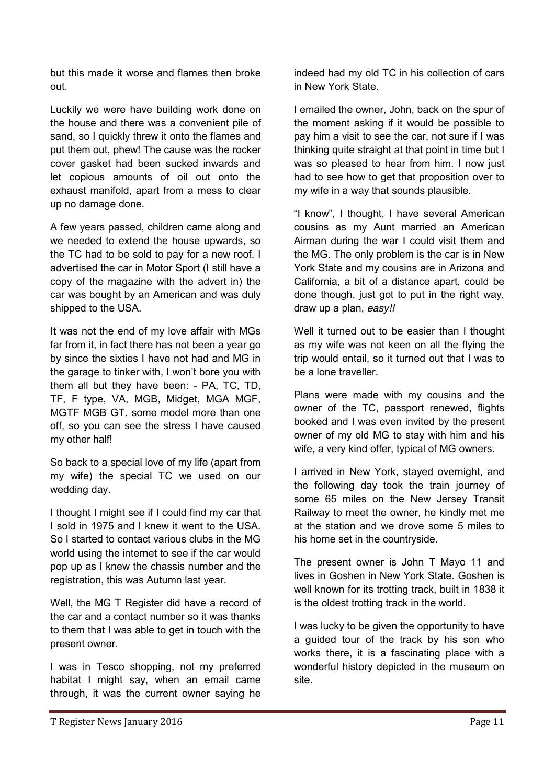but this made it worse and flames then broke out.

Luckily we were have building work done on the house and there was a convenient pile of sand, so I quickly threw it onto the flames and put them out, phew! The cause was the rocker cover gasket had been sucked inwards and let copious amounts of oil out onto the exhaust manifold, apart from a mess to clear up no damage done.

A few years passed, children came along and we needed to extend the house upwards, so the TC had to be sold to pay for a new roof. I advertised the car in Motor Sport (I still have a copy of the magazine with the advert in) the car was bought by an American and was duly shipped to the USA.

It was not the end of my love affair with MGs far from it, in fact there has not been a year go by since the sixties I have not had and MG in the garage to tinker with, I won't bore you with them all but they have been: - PA, TC, TD, TF, F type, VA, MGB, Midget, MGA MGF, MGTF MGB GT. some model more than one off, so you can see the stress I have caused my other half!

So back to a special love of my life (apart from my wife) the special TC we used on our wedding day.

I thought I might see if I could find my car that I sold in 1975 and I knew it went to the USA. So I started to contact various clubs in the MG world using the internet to see if the car would pop up as I knew the chassis number and the registration, this was Autumn last year.

Well, the MG T Register did have a record of the car and a contact number so it was thanks to them that I was able to get in touch with the present owner.

I was in Tesco shopping, not my preferred habitat I might say, when an email came through, it was the current owner saying he

indeed had my old TC in his collection of cars in New York State.

I emailed the owner, John, back on the spur of the moment asking if it would be possible to pay him a visit to see the car, not sure if I was thinking quite straight at that point in time but I was so pleased to hear from him. I now just had to see how to get that proposition over to my wife in a way that sounds plausible.

"I know", I thought, I have several American cousins as my Aunt married an American Airman during the war I could visit them and the MG. The only problem is the car is in New York State and my cousins are in Arizona and California, a bit of a distance apart, could be done though, just got to put in the right way, draw up a plan, *easy!!*

Well it turned out to be easier than I thought as my wife was not keen on all the flying the trip would entail, so it turned out that I was to be a lone traveller.

Plans were made with my cousins and the owner of the TC, passport renewed, flights booked and I was even invited by the present owner of my old MG to stay with him and his wife, a very kind offer, typical of MG owners.

I arrived in New York, stayed overnight, and the following day took the train journey of some 65 miles on the New Jersey Transit Railway to meet the owner, he kindly met me at the station and we drove some 5 miles to his home set in the countryside.

The present owner is John T Mayo 11 and lives in Goshen in New York State. Goshen is well known for its trotting track, built in 1838 it is the oldest trotting track in the world.

I was lucky to be given the opportunity to have a guided tour of the track by his son who works there, it is a fascinating place with a wonderful history depicted in the museum on site.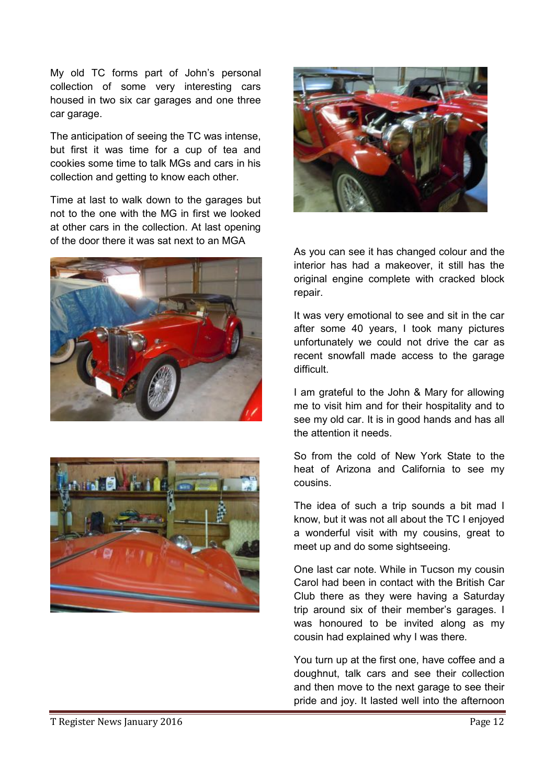My old TC forms part of John's personal collection of some very interesting cars housed in two six car garages and one three car garage.

The anticipation of seeing the TC was intense, but first it was time for a cup of tea and cookies some time to talk MGs and cars in his collection and getting to know each other.

Time at last to walk down to the garages but not to the one with the MG in first we looked at other cars in the collection. At last opening of the door there it was sat next to an MGA







As you can see it has changed colour and the interior has had a makeover, it still has the original engine complete with cracked block repair.

It was very emotional to see and sit in the car after some 40 years, I took many pictures unfortunately we could not drive the car as recent snowfall made access to the garage difficult.

I am grateful to the John & Mary for allowing me to visit him and for their hospitality and to see my old car. It is in good hands and has all the attention it needs.

So from the cold of New York State to the heat of Arizona and California to see my cousins.

The idea of such a trip sounds a bit mad I know, but it was not all about the TC I enjoyed a wonderful visit with my cousins, great to meet up and do some sightseeing.

One last car note. While in Tucson my cousin Carol had been in contact with the British Car Club there as they were having a Saturday trip around six of their member's garages. I was honoured to be invited along as my cousin had explained why I was there.

You turn up at the first one, have coffee and a doughnut, talk cars and see their collection and then move to the next garage to see their pride and joy. It lasted well into the afternoon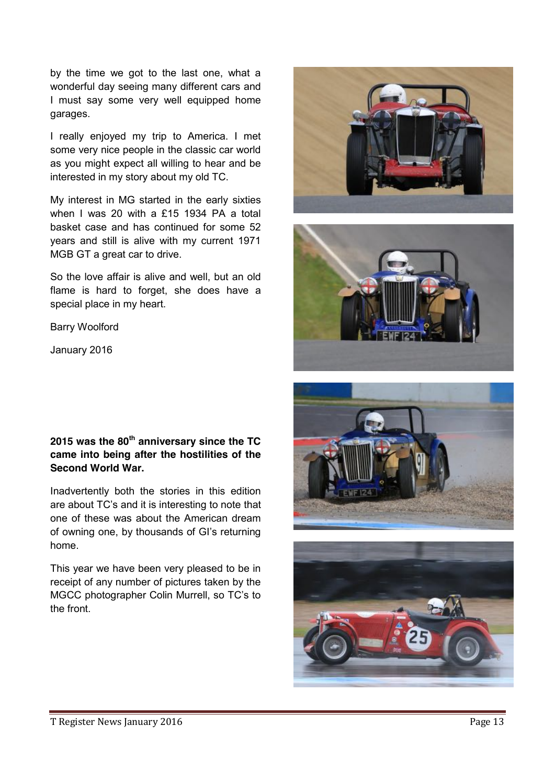by the time we got to the last one, what a wonderful day seeing many different cars and I must say some very well equipped home garages.

I really enjoyed my trip to America. I met some very nice people in the classic car world as you might expect all willing to hear and be interested in my story about my old TC.

My interest in MG started in the early sixties when I was 20 with a £15 1934 PA a total basket case and has continued for some 52 years and still is alive with my current 1971 MGB GT a great car to drive.

So the love affair is alive and well, but an old flame is hard to forget, she does have a special place in my heart.

Barry Woolford

January 2016

## **2015 was the 80th anniversary since the TC came into being after the hostilities of the Second World War.**

Inadvertently both the stories in this edition are about TC's and it is interesting to note that one of these was about the American dream of owning one, by thousands of GI's returning home.

This year we have been very pleased to be in receipt of any number of pictures taken by the MGCC photographer Colin Murrell, so TC's to the front.







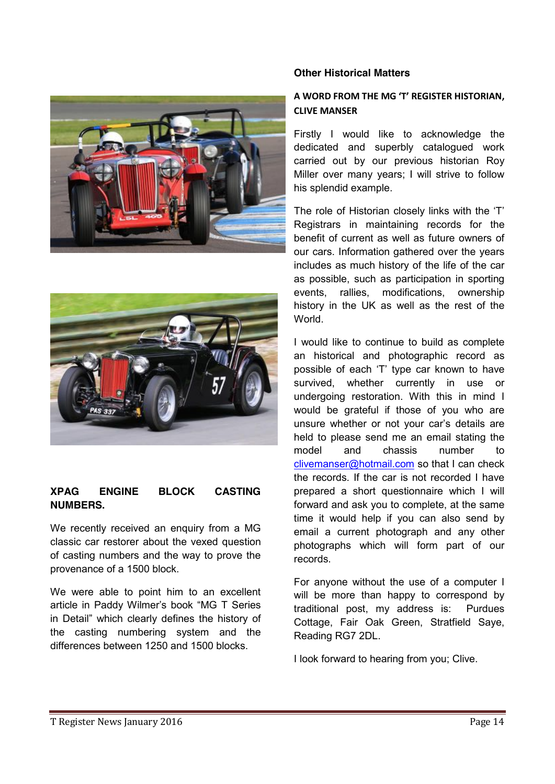



## **XPAG ENGINE BLOCK CASTING NUMBERS.**

We recently received an enquiry from a MG classic car restorer about the vexed question of casting numbers and the way to prove the provenance of a 1500 block.

We were able to point him to an excellent article in Paddy Wilmer's book "MG T Series in Detail" which clearly defines the history of the casting numbering system and the differences between 1250 and 1500 blocks.

#### **Other Historical Matters**

## **A WORD FROM THE MG 'T' REGISTER HISTORIAN, CLIVE MANSER**

Firstly I would like to acknowledge the dedicated and superbly catalogued work carried out by our previous historian Roy Miller over many years; I will strive to follow his splendid example.

The role of Historian closely links with the 'T' Registrars in maintaining records for the benefit of current as well as future owners of our cars. Information gathered over the years includes as much history of the life of the car as possible, such as participation in sporting events, rallies, modifications, ownership history in the UK as well as the rest of the World.

I would like to continue to build as complete an historical and photographic record as possible of each 'T' type car known to have survived, whether currently in use or undergoing restoration. With this in mind I would be grateful if those of you who are unsure whether or not your car's details are held to please send me an email stating the model and chassis number to [clivemanser@hotmail.com](mailto:clivemanser@hotmail.com) so that I can check the records. If the car is not recorded I have prepared a short questionnaire which I will forward and ask you to complete, at the same time it would help if you can also send by email a current photograph and any other photographs which will form part of our records.

For anyone without the use of a computer I will be more than happy to correspond by traditional post, my address is: Purdues Cottage, Fair Oak Green, Stratfield Saye, Reading RG7 2DL.

I look forward to hearing from you; Clive.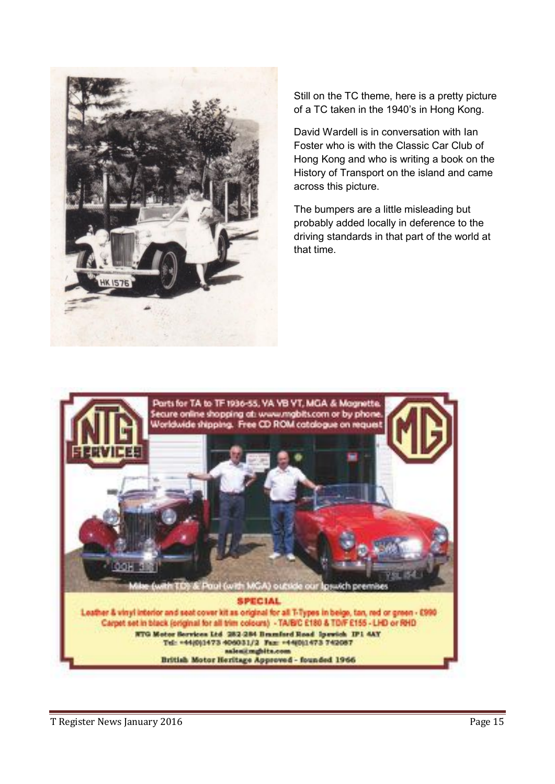

Still on the TC theme, here is a pretty picture of a TC taken in the 1940's in Hong Kong.

David Wardell is in conversation with Ian Foster who is with the Classic Car Club of Hong Kong and who is writing a book on the History of Transport on the island and came across this picture.

The bumpers are a little misleading but probably added locally in deference to the driving standards in that part of the world at that time.